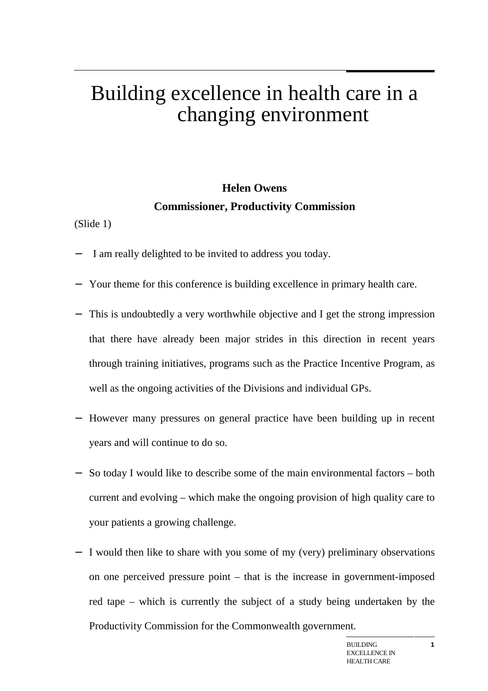# Building excellence in health care in a changing environment

# **Helen Owens Commissioner, Productivity Commission**

(Slide 1)

- I am really delighted to be invited to address you today.
- − Your theme for this conference is building excellence in primary health care.
- This is undoubtedly a very worthwhile objective and I get the strong impression that there have already been major strides in this direction in recent years through training initiatives, programs such as the Practice Incentive Program, as well as the ongoing activities of the Divisions and individual GPs.
- − However many pressures on general practice have been building up in recent years and will continue to do so.
- − So today I would like to describe some of the main environmental factors both current and evolving – which make the ongoing provision of high quality care to your patients a growing challenge.
- − I would then like to share with you some of my (very) preliminary observations on one perceived pressure point – that is the increase in government-imposed red tape – which is currently the subject of a study being undertaken by the Productivity Commission for the Commonwealth government.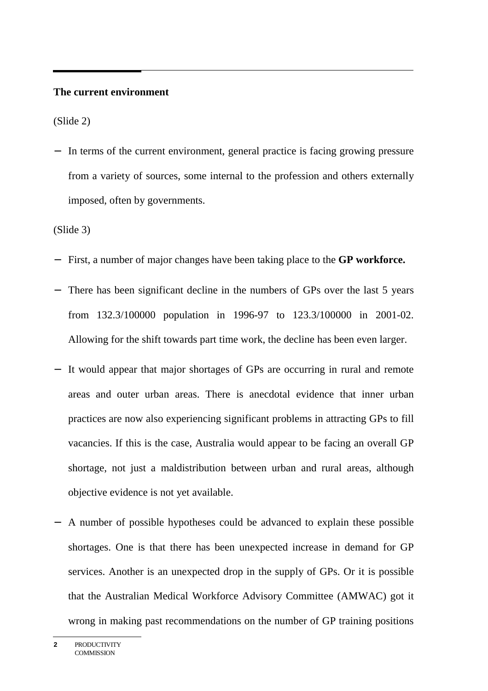#### **The current environment**

(Slide 2)

− In terms of the current environment, general practice is facing growing pressure from a variety of sources, some internal to the profession and others externally imposed, often by governments.

(Slide 3)

- − First, a number of major changes have been taking place to the **GP workforce.**
- − There has been significant decline in the numbers of GPs over the last 5 years from 132.3/100000 population in 1996-97 to 123.3/100000 in 2001-02. Allowing for the shift towards part time work, the decline has been even larger.
- It would appear that major shortages of GPs are occurring in rural and remote areas and outer urban areas. There is anecdotal evidence that inner urban practices are now also experiencing significant problems in attracting GPs to fill vacancies. If this is the case, Australia would appear to be facing an overall GP shortage, not just a maldistribution between urban and rural areas, although objective evidence is not yet available.
- − A number of possible hypotheses could be advanced to explain these possible shortages. One is that there has been unexpected increase in demand for GP services. Another is an unexpected drop in the supply of GPs. Or it is possible that the Australian Medical Workforce Advisory Committee (AMWAC) got it wrong in making past recommendations on the number of GP training positions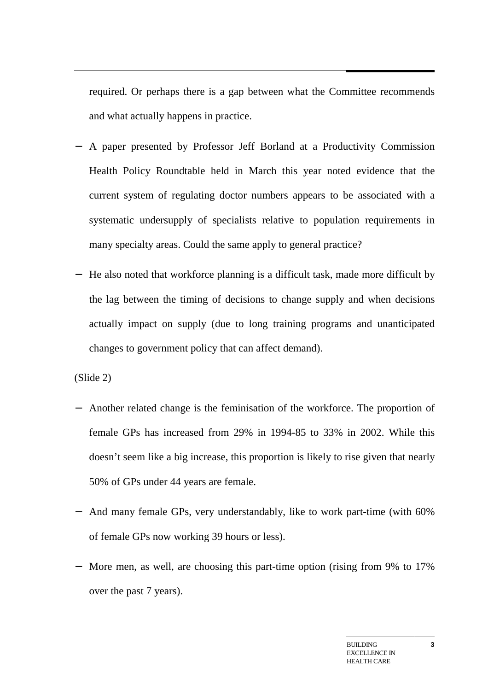required. Or perhaps there is a gap between what the Committee recommends and what actually happens in practice.

- − A paper presented by Professor Jeff Borland at a Productivity Commission Health Policy Roundtable held in March this year noted evidence that the current system of regulating doctor numbers appears to be associated with a systematic undersupply of specialists relative to population requirements in many specialty areas. Could the same apply to general practice?
- − He also noted that workforce planning is a difficult task, made more difficult by the lag between the timing of decisions to change supply and when decisions actually impact on supply (due to long training programs and unanticipated changes to government policy that can affect demand).

(Slide 2)

- − Another related change is the feminisation of the workforce. The proportion of female GPs has increased from 29% in 1994-85 to 33% in 2002. While this doesn't seem like a big increase, this proportion is likely to rise given that nearly 50% of GPs under 44 years are female.
- − And many female GPs, very understandably, like to work part-time (with 60% of female GPs now working 39 hours or less).
- − More men, as well, are choosing this part-time option (rising from 9% to 17% over the past 7 years).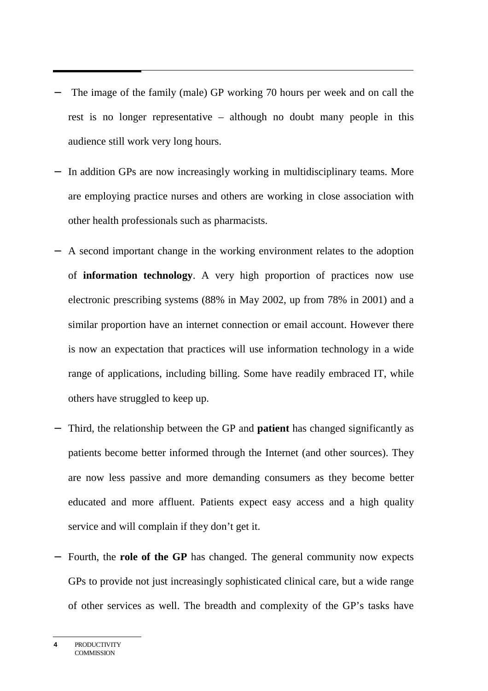- The image of the family (male) GP working 70 hours per week and on call the rest is no longer representative – although no doubt many people in this audience still work very long hours.
- − In addition GPs are now increasingly working in multidisciplinary teams. More are employing practice nurses and others are working in close association with other health professionals such as pharmacists.
- − A second important change in the working environment relates to the adoption of **information technology**. A very high proportion of practices now use electronic prescribing systems (88% in May 2002, up from 78% in 2001) and a similar proportion have an internet connection or email account. However there is now an expectation that practices will use information technology in a wide range of applications, including billing. Some have readily embraced IT, while others have struggled to keep up.
- − Third, the relationship between the GP and **patient** has changed significantly as patients become better informed through the Internet (and other sources). They are now less passive and more demanding consumers as they become better educated and more affluent. Patients expect easy access and a high quality service and will complain if they don't get it.
- − Fourth, the **role of the GP** has changed. The general community now expects GPs to provide not just increasingly sophisticated clinical care, but a wide range of other services as well. The breadth and complexity of the GP's tasks have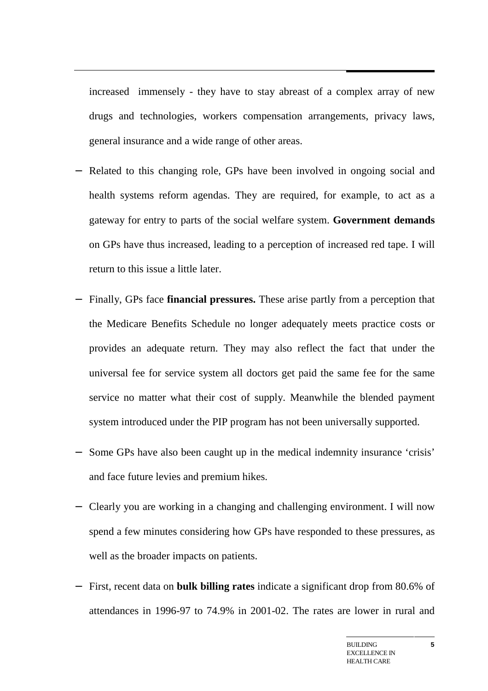increased immensely - they have to stay abreast of a complex array of new drugs and technologies, workers compensation arrangements, privacy laws, general insurance and a wide range of other areas.

- − Related to this changing role, GPs have been involved in ongoing social and health systems reform agendas. They are required, for example, to act as a gateway for entry to parts of the social welfare system. **Government demands** on GPs have thus increased, leading to a perception of increased red tape. I will return to this issue a little later.
- − Finally, GPs face **financial pressures.** These arise partly from a perception that the Medicare Benefits Schedule no longer adequately meets practice costs or provides an adequate return. They may also reflect the fact that under the universal fee for service system all doctors get paid the same fee for the same service no matter what their cost of supply. Meanwhile the blended payment system introduced under the PIP program has not been universally supported.
- − Some GPs have also been caught up in the medical indemnity insurance 'crisis' and face future levies and premium hikes.
- − Clearly you are working in a changing and challenging environment. I will now spend a few minutes considering how GPs have responded to these pressures, as well as the broader impacts on patients.
- − First, recent data on **bulk billing rates** indicate a significant drop from 80.6% of attendances in 1996-97 to 74.9% in 2001-02. The rates are lower in rural and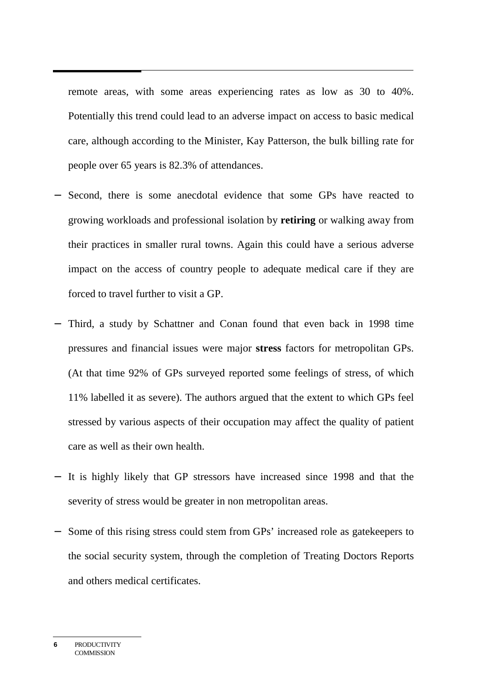remote areas, with some areas experiencing rates as low as 30 to 40%. Potentially this trend could lead to an adverse impact on access to basic medical care, although according to the Minister, Kay Patterson, the bulk billing rate for people over 65 years is 82.3% of attendances.

- − Second, there is some anecdotal evidence that some GPs have reacted to growing workloads and professional isolation by **retiring** or walking away from their practices in smaller rural towns. Again this could have a serious adverse impact on the access of country people to adequate medical care if they are forced to travel further to visit a GP.
- − Third, a study by Schattner and Conan found that even back in 1998 time pressures and financial issues were major **stress** factors for metropolitan GPs. (At that time 92% of GPs surveyed reported some feelings of stress, of which 11% labelled it as severe). The authors argued that the extent to which GPs feel stressed by various aspects of their occupation may affect the quality of patient care as well as their own health.
- − It is highly likely that GP stressors have increased since 1998 and that the severity of stress would be greater in non metropolitan areas.
- − Some of this rising stress could stem from GPs' increased role as gatekeepers to the social security system, through the completion of Treating Doctors Reports and others medical certificates.

**<sup>6</sup>** PRODUCTIVITY **COMMISSION**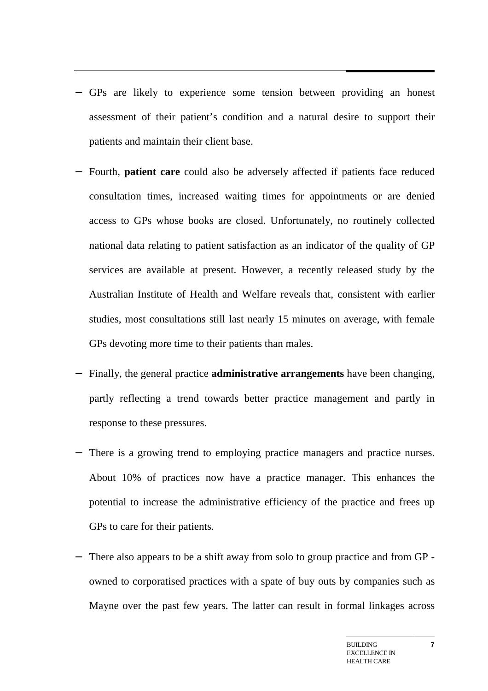- − GPs are likely to experience some tension between providing an honest assessment of their patient's condition and a natural desire to support their patients and maintain their client base.
- − Fourth, **patient care** could also be adversely affected if patients face reduced consultation times, increased waiting times for appointments or are denied access to GPs whose books are closed. Unfortunately, no routinely collected national data relating to patient satisfaction as an indicator of the quality of GP services are available at present. However, a recently released study by the Australian Institute of Health and Welfare reveals that, consistent with earlier studies, most consultations still last nearly 15 minutes on average, with female GPs devoting more time to their patients than males.
- Finally, the general practice **administrative arrangements** have been changing, partly reflecting a trend towards better practice management and partly in response to these pressures.
- − There is a growing trend to employing practice managers and practice nurses. About 10% of practices now have a practice manager. This enhances the potential to increase the administrative efficiency of the practice and frees up GPs to care for their patients.
- − There also appears to be a shift away from solo to group practice and from GP owned to corporatised practices with a spate of buy outs by companies such as Mayne over the past few years. The latter can result in formal linkages across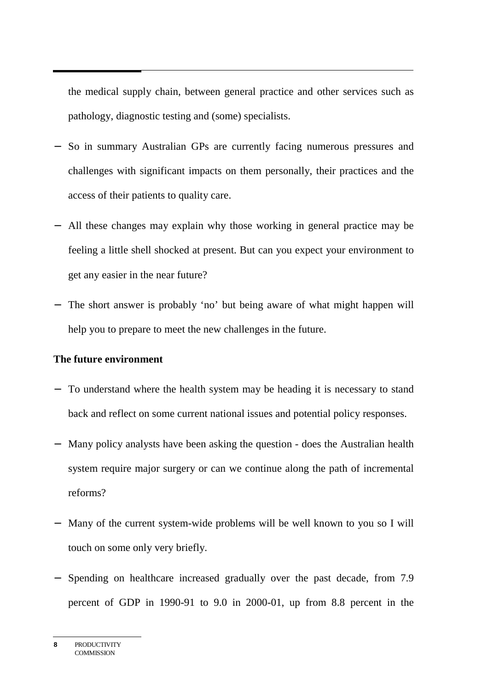the medical supply chain, between general practice and other services such as pathology, diagnostic testing and (some) specialists.

- − So in summary Australian GPs are currently facing numerous pressures and challenges with significant impacts on them personally, their practices and the access of their patients to quality care.
- − All these changes may explain why those working in general practice may be feeling a little shell shocked at present. But can you expect your environment to get any easier in the near future?
- − The short answer is probably 'no' but being aware of what might happen will help you to prepare to meet the new challenges in the future.

#### **The future environment**

- − To understand where the health system may be heading it is necessary to stand back and reflect on some current national issues and potential policy responses.
- − Many policy analysts have been asking the question does the Australian health system require major surgery or can we continue along the path of incremental reforms?
- − Many of the current system-wide problems will be well known to you so I will touch on some only very briefly.
- − Spending on healthcare increased gradually over the past decade, from 7.9 percent of GDP in 1990-91 to 9.0 in 2000-01, up from 8.8 percent in the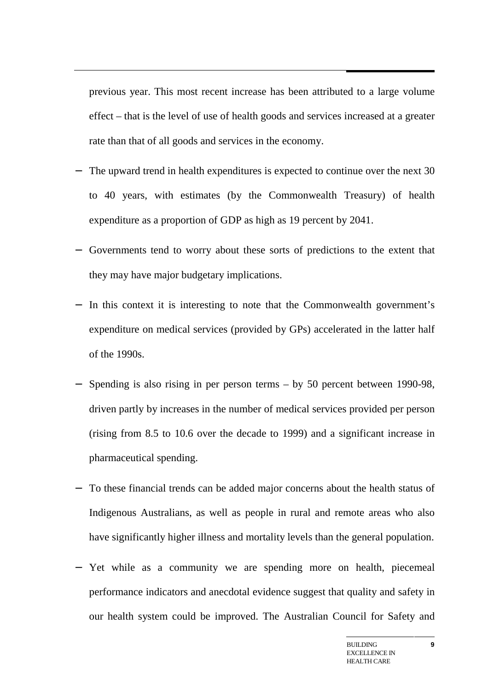previous year. This most recent increase has been attributed to a large volume effect – that is the level of use of health goods and services increased at a greater rate than that of all goods and services in the economy.

- − The upward trend in health expenditures is expected to continue over the next 30 to 40 years, with estimates (by the Commonwealth Treasury) of health expenditure as a proportion of GDP as high as 19 percent by 2041.
- − Governments tend to worry about these sorts of predictions to the extent that they may have major budgetary implications.
- − In this context it is interesting to note that the Commonwealth government's expenditure on medical services (provided by GPs) accelerated in the latter half of the 1990s.
- − Spending is also rising in per person terms by 50 percent between 1990-98, driven partly by increases in the number of medical services provided per person (rising from 8.5 to 10.6 over the decade to 1999) and a significant increase in pharmaceutical spending.
- − To these financial trends can be added major concerns about the health status of Indigenous Australians, as well as people in rural and remote areas who also have significantly higher illness and mortality levels than the general population.
- − Yet while as a community we are spending more on health, piecemeal performance indicators and anecdotal evidence suggest that quality and safety in our health system could be improved. The Australian Council for Safety and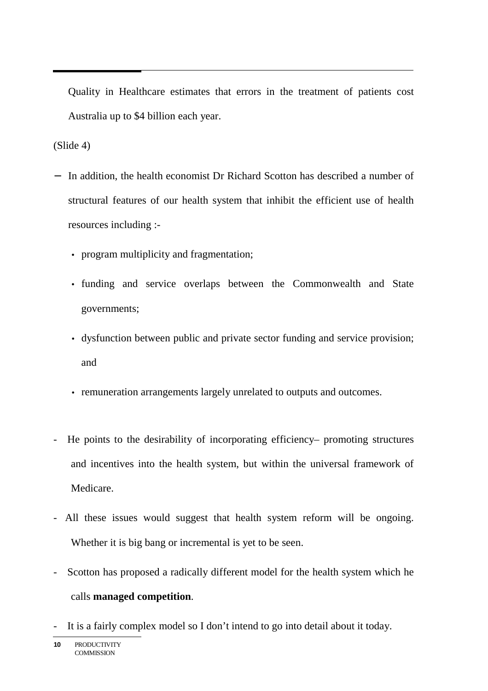Quality in Healthcare estimates that errors in the treatment of patients cost Australia up to \$4 billion each year.

(Slide 4)

- − In addition, the health economist Dr Richard Scotton has described a number of structural features of our health system that inhibit the efficient use of health resources including :-
	- program multiplicity and fragmentation;
	- funding and service overlaps between the Commonwealth and State governments;
	- dysfunction between public and private sector funding and service provision; and
	- remuneration arrangements largely unrelated to outputs and outcomes.
- He points to the desirability of incorporating efficiency– promoting structures and incentives into the health system, but within the universal framework of Medicare.
- All these issues would suggest that health system reform will be ongoing. Whether it is big bang or incremental is yet to be seen.
- Scotton has proposed a radically different model for the health system which he calls **managed competition**.
- It is a fairly complex model so I don't intend to go into detail about it today.

**<sup>10</sup>** PRODUCTIVITY **COMMISSION**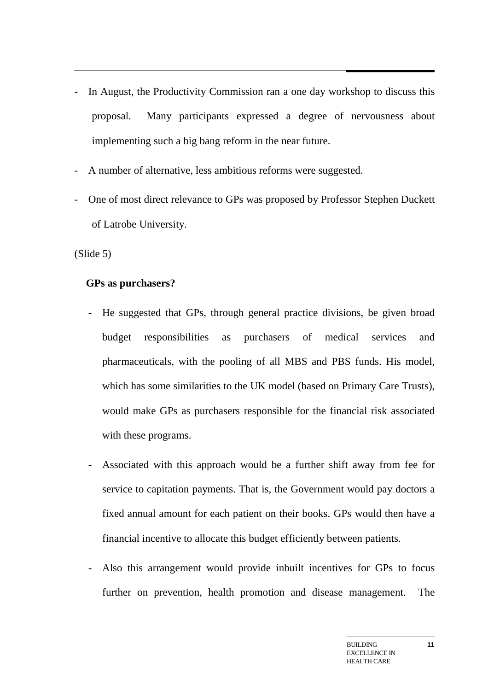- In August, the Productivity Commission ran a one day workshop to discuss this proposal. Many participants expressed a degree of nervousness about implementing such a big bang reform in the near future.
- A number of alternative, less ambitious reforms were suggested.
- One of most direct relevance to GPs was proposed by Professor Stephen Duckett of Latrobe University.

(Slide 5)

#### **GPs as purchasers?**

- He suggested that GPs, through general practice divisions, be given broad budget responsibilities as purchasers of medical services and pharmaceuticals, with the pooling of all MBS and PBS funds. His model, which has some similarities to the UK model (based on Primary Care Trusts), would make GPs as purchasers responsible for the financial risk associated with these programs.
- Associated with this approach would be a further shift away from fee for service to capitation payments. That is, the Government would pay doctors a fixed annual amount for each patient on their books. GPs would then have a financial incentive to allocate this budget efficiently between patients.
- Also this arrangement would provide inbuilt incentives for GPs to focus further on prevention, health promotion and disease management. The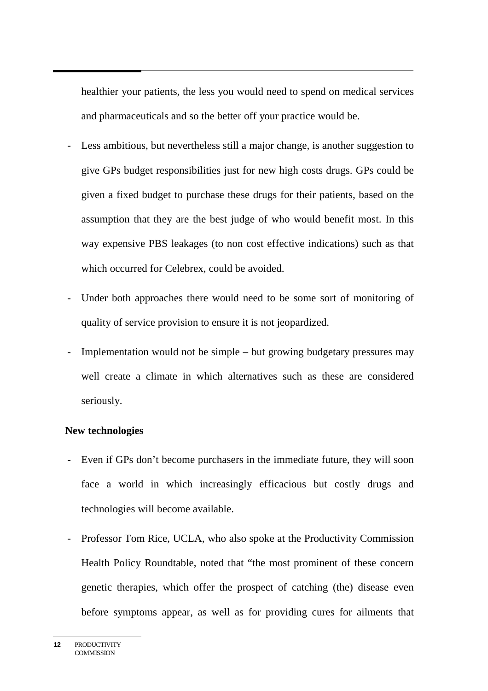healthier your patients, the less you would need to spend on medical services and pharmaceuticals and so the better off your practice would be.

- Less ambitious, but nevertheless still a major change, is another suggestion to give GPs budget responsibilities just for new high costs drugs. GPs could be given a fixed budget to purchase these drugs for their patients, based on the assumption that they are the best judge of who would benefit most. In this way expensive PBS leakages (to non cost effective indications) such as that which occurred for Celebrex, could be avoided.
- Under both approaches there would need to be some sort of monitoring of quality of service provision to ensure it is not jeopardized.
- Implementation would not be simple but growing budgetary pressures may well create a climate in which alternatives such as these are considered seriously.

#### **New technologies**

- Even if GPs don't become purchasers in the immediate future, they will soon face a world in which increasingly efficacious but costly drugs and technologies will become available.
- Professor Tom Rice, UCLA, who also spoke at the Productivity Commission Health Policy Roundtable, noted that "the most prominent of these concern genetic therapies, which offer the prospect of catching (the) disease even before symptoms appear, as well as for providing cures for ailments that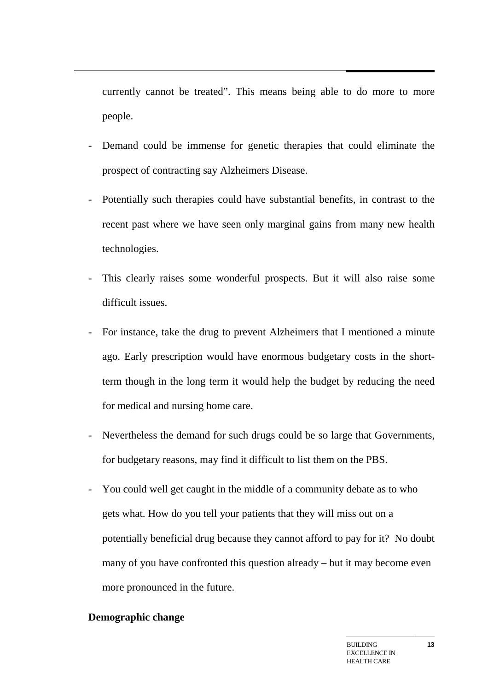currently cannot be treated". This means being able to do more to more people.

- Demand could be immense for genetic therapies that could eliminate the prospect of contracting say Alzheimers Disease.
- Potentially such therapies could have substantial benefits, in contrast to the recent past where we have seen only marginal gains from many new health technologies.
- This clearly raises some wonderful prospects. But it will also raise some difficult issues.
- For instance, take the drug to prevent Alzheimers that I mentioned a minute ago. Early prescription would have enormous budgetary costs in the shortterm though in the long term it would help the budget by reducing the need for medical and nursing home care.
- Nevertheless the demand for such drugs could be so large that Governments, for budgetary reasons, may find it difficult to list them on the PBS.
- You could well get caught in the middle of a community debate as to who gets what. How do you tell your patients that they will miss out on a potentially beneficial drug because they cannot afford to pay for it? No doubt many of you have confronted this question already – but it may become even more pronounced in the future.

# **Demographic change**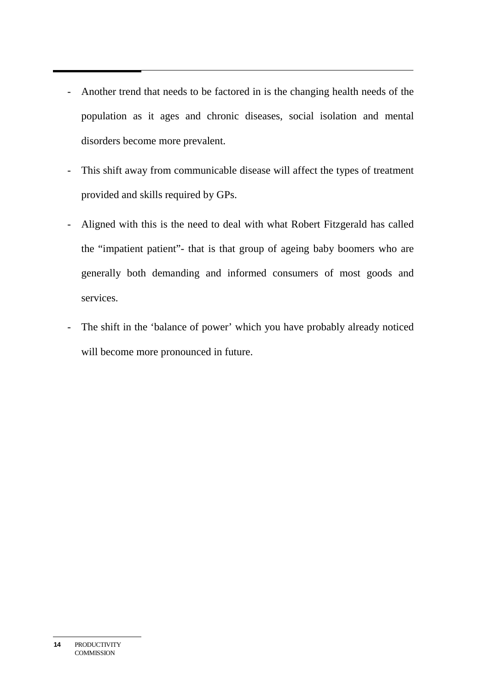- Another trend that needs to be factored in is the changing health needs of the population as it ages and chronic diseases, social isolation and mental disorders become more prevalent.
- This shift away from communicable disease will affect the types of treatment provided and skills required by GPs.
- Aligned with this is the need to deal with what Robert Fitzgerald has called the "impatient patient"- that is that group of ageing baby boomers who are generally both demanding and informed consumers of most goods and services.
- The shift in the 'balance of power' which you have probably already noticed will become more pronounced in future.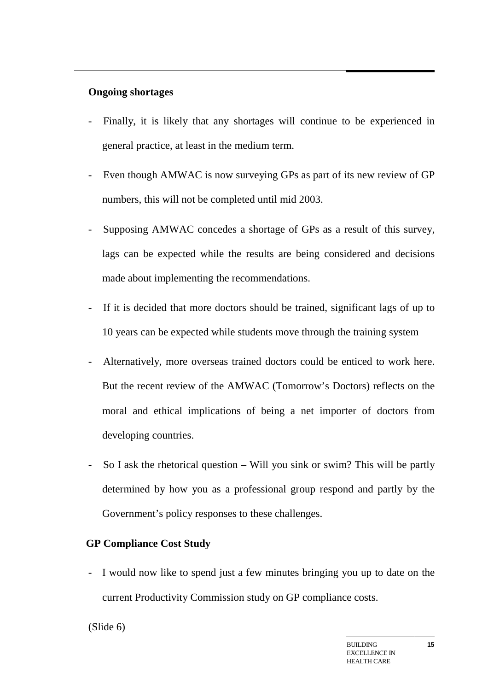#### **Ongoing shortages**

- Finally, it is likely that any shortages will continue to be experienced in general practice, at least in the medium term.
- Even though AMWAC is now surveying GPs as part of its new review of GP numbers, this will not be completed until mid 2003.
- Supposing AMWAC concedes a shortage of GPs as a result of this survey, lags can be expected while the results are being considered and decisions made about implementing the recommendations.
- If it is decided that more doctors should be trained, significant lags of up to 10 years can be expected while students move through the training system
- Alternatively, more overseas trained doctors could be enticed to work here. But the recent review of the AMWAC (Tomorrow's Doctors) reflects on the moral and ethical implications of being a net importer of doctors from developing countries.
- So I ask the rhetorical question Will you sink or swim? This will be partly determined by how you as a professional group respond and partly by the Government's policy responses to these challenges.

# **GP Compliance Cost Study**

- I would now like to spend just a few minutes bringing you up to date on the current Productivity Commission study on GP compliance costs.

#### (Slide 6)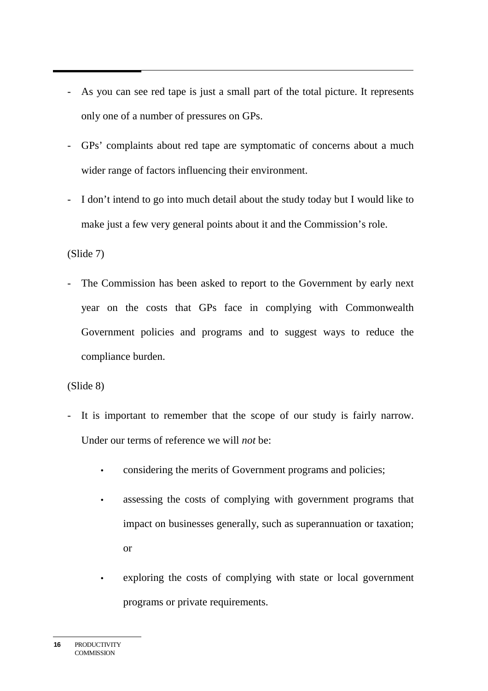- As you can see red tape is just a small part of the total picture. It represents only one of a number of pressures on GPs.
- GPs' complaints about red tape are symptomatic of concerns about a much wider range of factors influencing their environment.
- I don't intend to go into much detail about the study today but I would like to make just a few very general points about it and the Commission's role.

# (Slide 7)

The Commission has been asked to report to the Government by early next year on the costs that GPs face in complying with Commonwealth Government policies and programs and to suggest ways to reduce the compliance burden.

# (Slide 8)

- It is important to remember that the scope of our study is fairly narrow. Under our terms of reference we will *not* be:
	- considering the merits of Government programs and policies;
	- assessing the costs of complying with government programs that impact on businesses generally, such as superannuation or taxation; or
	- exploring the costs of complying with state or local government programs or private requirements.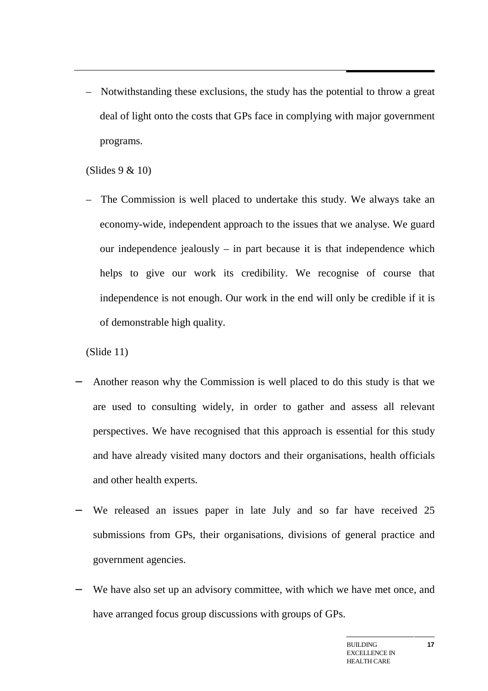– Notwithstanding these exclusions, the study has the potential to throw a great deal of light onto the costs that GPs face in complying with major government programs.

(Slides 9 & 10)

– The Commission is well placed to undertake this study. We always take an economy-wide, independent approach to the issues that we analyse. We guard our independence jealously – in part because it is that independence which helps to give our work its credibility. We recognise of course that independence is not enough. Our work in the end will only be credible if it is of demonstrable high quality.

(Slide 11)

- Another reason why the Commission is well placed to do this study is that we are used to consulting widely, in order to gather and assess all relevant perspectives. We have recognised that this approach is essential for this study and have already visited many doctors and their organisations, health officials and other health experts.
- We released an issues paper in late July and so far have received 25 submissions from GPs, their organisations, divisions of general practice and government agencies.
- We have also set up an advisory committee, with which we have met once, and have arranged focus group discussions with groups of GPs.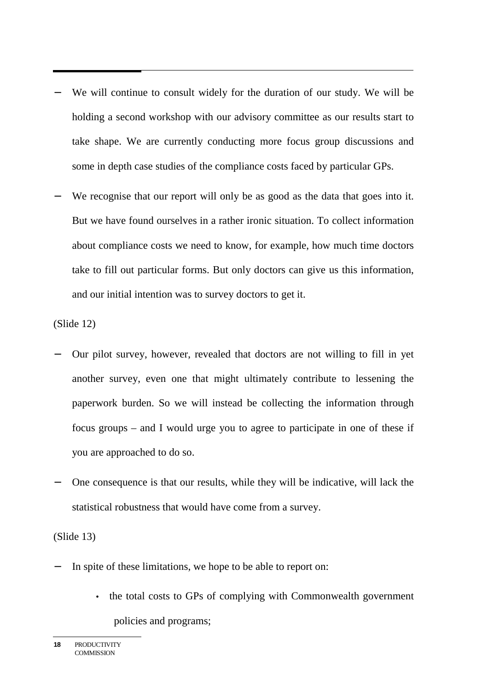- We will continue to consult widely for the duration of our study. We will be holding a second workshop with our advisory committee as our results start to take shape. We are currently conducting more focus group discussions and some in depth case studies of the compliance costs faced by particular GPs.
- We recognise that our report will only be as good as the data that goes into it. But we have found ourselves in a rather ironic situation. To collect information about compliance costs we need to know, for example, how much time doctors take to fill out particular forms. But only doctors can give us this information, and our initial intention was to survey doctors to get it.

(Slide 12)

- − Our pilot survey, however, revealed that doctors are not willing to fill in yet another survey, even one that might ultimately contribute to lessening the paperwork burden. So we will instead be collecting the information through focus groups – and I would urge you to agree to participate in one of these if you are approached to do so.
- One consequence is that our results, while they will be indicative, will lack the statistical robustness that would have come from a survey.

(Slide 13)

- In spite of these limitations, we hope to be able to report on:
	- the total costs to GPs of complying with Commonwealth government policies and programs;

**<sup>18</sup>** PRODUCTIVITY **COMMISSION**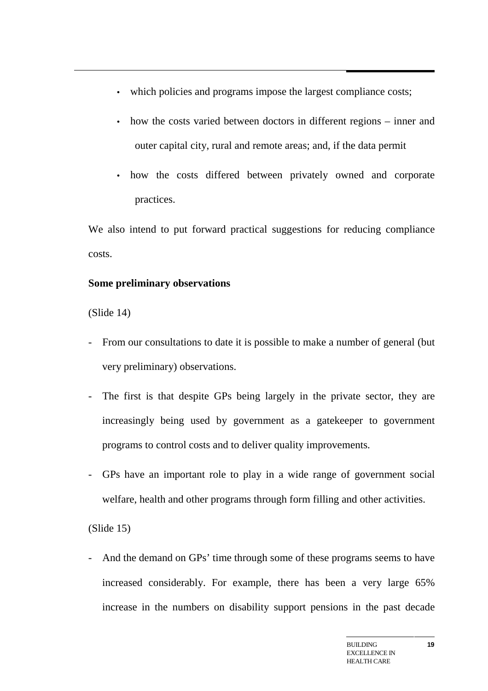- which policies and programs impose the largest compliance costs;
- how the costs varied between doctors in different regions inner and outer capital city, rural and remote areas; and, if the data permit
- how the costs differed between privately owned and corporate practices.

We also intend to put forward practical suggestions for reducing compliance costs.

# **Some preliminary observations**

(Slide 14)

- From our consultations to date it is possible to make a number of general (but very preliminary) observations.
- The first is that despite GPs being largely in the private sector, they are increasingly being used by government as a gatekeeper to government programs to control costs and to deliver quality improvements.
- GPs have an important role to play in a wide range of government social welfare, health and other programs through form filling and other activities.

(Slide 15)

- And the demand on GPs' time through some of these programs seems to have increased considerably. For example, there has been a very large 65% increase in the numbers on disability support pensions in the past decade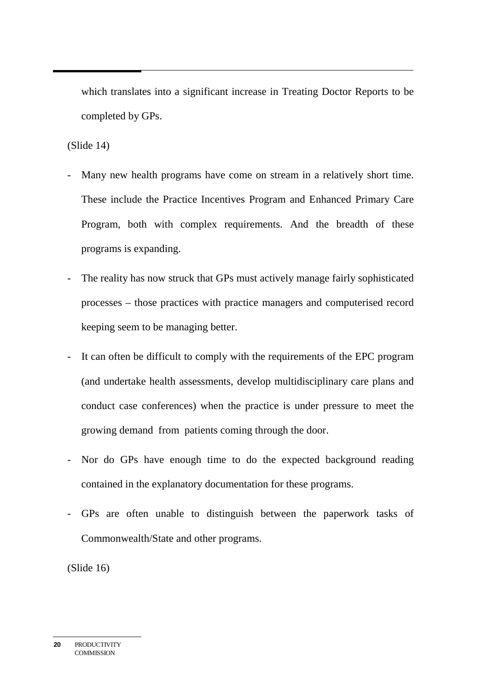which translates into a significant increase in Treating Doctor Reports to be completed by GPs.

(Slide 14)

- Many new health programs have come on stream in a relatively short time. These include the Practice Incentives Program and Enhanced Primary Care Program, both with complex requirements. And the breadth of these programs is expanding.
- The reality has now struck that GPs must actively manage fairly sophisticated processes – those practices with practice managers and computerised record keeping seem to be managing better.
- It can often be difficult to comply with the requirements of the EPC program (and undertake health assessments, develop multidisciplinary care plans and conduct case conferences) when the practice is under pressure to meet the growing demand from patients coming through the door.
- Nor do GPs have enough time to do the expected background reading contained in the explanatory documentation for these programs.
- GPs are often unable to distinguish between the paperwork tasks of Commonwealth/State and other programs.

(Slide 16)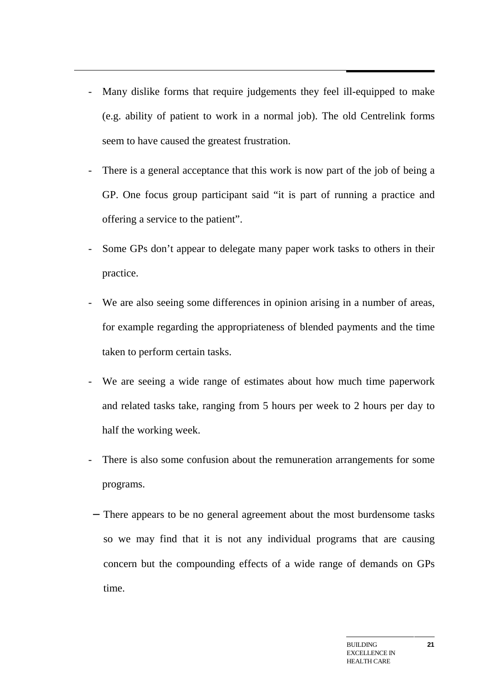- Many dislike forms that require judgements they feel ill-equipped to make (e.g. ability of patient to work in a normal job). The old Centrelink forms seem to have caused the greatest frustration.
- There is a general acceptance that this work is now part of the job of being a GP. One focus group participant said "it is part of running a practice and offering a service to the patient".
- Some GPs don't appear to delegate many paper work tasks to others in their practice.
- We are also seeing some differences in opinion arising in a number of areas, for example regarding the appropriateness of blended payments and the time taken to perform certain tasks.
- We are seeing a wide range of estimates about how much time paperwork and related tasks take, ranging from 5 hours per week to 2 hours per day to half the working week.
- There is also some confusion about the remuneration arrangements for some programs.
- − There appears to be no general agreement about the most burdensome tasks so we may find that it is not any individual programs that are causing concern but the compounding effects of a wide range of demands on GPs time.